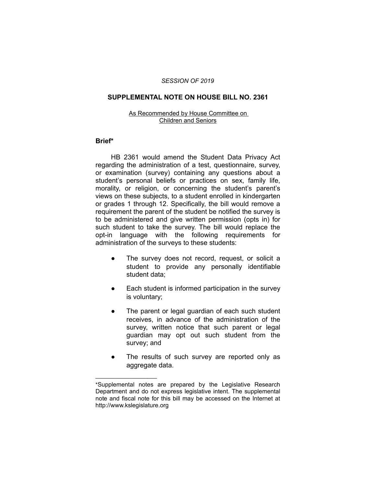#### *SESSION OF 2019*

# **SUPPLEMENTAL NOTE ON HOUSE BILL NO. 2361**

#### As Recommended by House Committee on Children and Seniors

### **Brief\***

HB 2361 would amend the Student Data Privacy Act regarding the administration of a test, questionnaire, survey, or examination (survey) containing any questions about a student's personal beliefs or practices on sex, family life, morality, or religion, or concerning the student's parent's views on these subjects, to a student enrolled in kindergarten or grades 1 through 12. Specifically, the bill would remove a requirement the parent of the student be notified the survey is to be administered and give written permission (opts in) for such student to take the survey. The bill would replace the opt-in language with the following requirements for administration of the surveys to these students:

- The survey does not record, request, or solicit a student to provide any personally identifiable student data;
- Each student is informed participation in the survey is voluntary;
- The parent or legal guardian of each such student receives, in advance of the administration of the survey, written notice that such parent or legal guardian may opt out such student from the survey; and
- The results of such survey are reported only as aggregate data.

 $\overline{\phantom{a}}$  , where  $\overline{\phantom{a}}$  , where  $\overline{\phantom{a}}$ 

<sup>\*</sup>Supplemental notes are prepared by the Legislative Research Department and do not express legislative intent. The supplemental note and fiscal note for this bill may be accessed on the Internet at http://www.kslegislature.org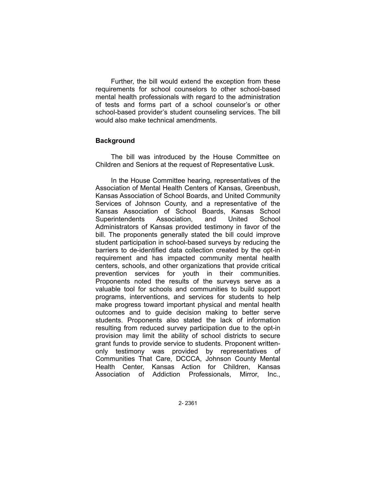Further, the bill would extend the exception from these requirements for school counselors to other school-based mental health professionals with regard to the administration of tests and forms part of a school counselor's or other school-based provider's student counseling services. The bill would also make technical amendments.

# **Background**

The bill was introduced by the House Committee on Children and Seniors at the request of Representative Lusk.

In the House Committee hearing, representatives of the Association of Mental Health Centers of Kansas, Greenbush, Kansas Association of School Boards, and United Community Services of Johnson County, and a representative of the Kansas Association of School Boards, Kansas School Superintendents Association, and United School Administrators of Kansas provided testimony in favor of the bill. The proponents generally stated the bill could improve student participation in school-based surveys by reducing the barriers to de-identified data collection created by the opt-in requirement and has impacted community mental health centers, schools, and other organizations that provide critical prevention services for youth in their communities. Proponents noted the results of the surveys serve as a valuable tool for schools and communities to build support programs, interventions, and services for students to help make progress toward important physical and mental health outcomes and to guide decision making to better serve students. Proponents also stated the lack of information resulting from reduced survey participation due to the opt-in provision may limit the ability of school districts to secure grant funds to provide service to students. Proponent writtenonly testimony was provided by representatives of Communities That Care, DCCCA, Johnson County Mental Health Center, Kansas Action for Children, Kansas Association of Addiction Professionals, Mirror, Inc.,